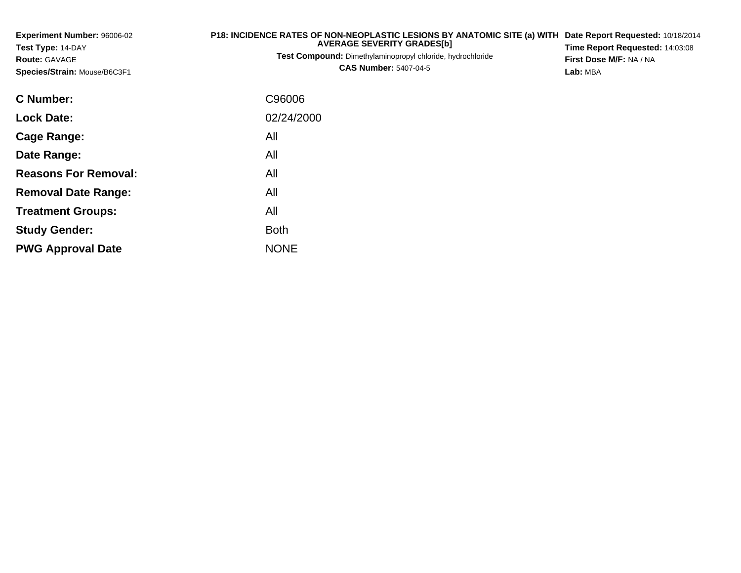**Experiment Number:** 96006-02**Test Type:** 14-DAY**Route:** GAVAGE**Species/Strain:** Mouse/B6C3F1

## **P18: INCIDENCE RATES OF NON-NEOPLASTIC LESIONS BY ANATOMIC SITE (a) WITH AVERAGE SEVERITY GRADES[b] Date Report Requested:** 10/18/2014 **Time Report Requested:** 14:03:08

**Test Compound:** Dimethylaminopropyl chloride, hydrochloride**CAS Number:** 5407-04-5

**First Dose M/F:** NA / NA**Lab:** MBA

| C Number:                   | C96006      |
|-----------------------------|-------------|
| <b>Lock Date:</b>           | 02/24/2000  |
| Cage Range:                 | All         |
| Date Range:                 | All         |
| <b>Reasons For Removal:</b> | All         |
| <b>Removal Date Range:</b>  | All         |
| <b>Treatment Groups:</b>    | All         |
| <b>Study Gender:</b>        | Both        |
| <b>PWG Approval Date</b>    | <b>NONE</b> |
|                             |             |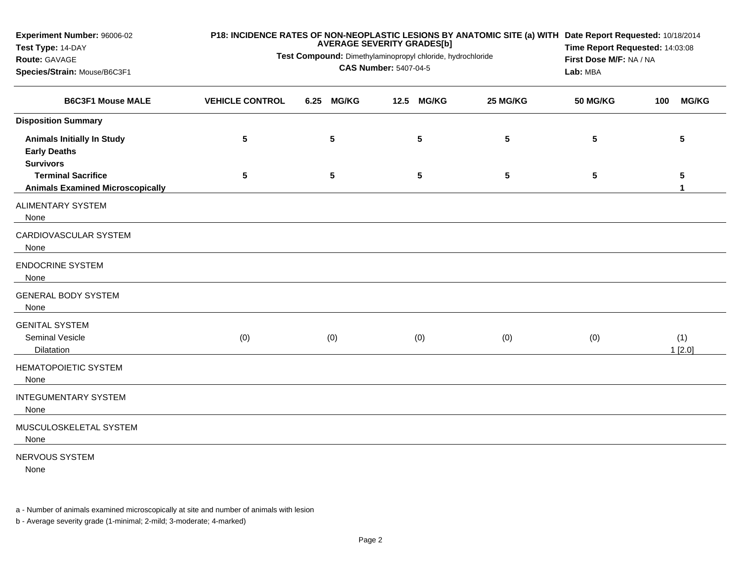| Experiment Number: 96006-02<br>Test Type: 14-DAY                             | P18: INCIDENCE RATES OF NON-NEOPLASTIC LESIONS BY ANATOMIC SITE (a) WITH Date Report Requested: 10/18/2014<br><b>AVERAGE SEVERITY GRADES[b]</b> |                 |                                                            |                 |                 |                     |  |  |
|------------------------------------------------------------------------------|-------------------------------------------------------------------------------------------------------------------------------------------------|-----------------|------------------------------------------------------------|-----------------|-----------------|---------------------|--|--|
| Route: GAVAGE<br>Species/Strain: Mouse/B6C3F1                                | Test Compound: Dimethylaminopropyl chloride, hydrochloride                                                                                      | Lab: MBA        | Time Report Requested: 14:03:08<br>First Dose M/F: NA / NA |                 |                 |                     |  |  |
| <b>B6C3F1 Mouse MALE</b>                                                     | <b>VEHICLE CONTROL</b>                                                                                                                          | 6.25 MG/KG      | 12.5 MG/KG                                                 | 25 MG/KG        | <b>50 MG/KG</b> | <b>MG/KG</b><br>100 |  |  |
| <b>Disposition Summary</b>                                                   |                                                                                                                                                 |                 |                                                            |                 |                 |                     |  |  |
| <b>Animals Initially In Study</b><br><b>Early Deaths</b><br><b>Survivors</b> | $\sqrt{5}$                                                                                                                                      | $5\phantom{.0}$ | 5                                                          | 5               | 5               | 5                   |  |  |
| <b>Terminal Sacrifice</b><br><b>Animals Examined Microscopically</b>         | 5                                                                                                                                               | $5\phantom{.0}$ | 5                                                          | $5\phantom{.0}$ | 5               | 5<br>1              |  |  |
| <b>ALIMENTARY SYSTEM</b><br>None                                             |                                                                                                                                                 |                 |                                                            |                 |                 |                     |  |  |
| CARDIOVASCULAR SYSTEM<br>None                                                |                                                                                                                                                 |                 |                                                            |                 |                 |                     |  |  |
| <b>ENDOCRINE SYSTEM</b><br>None                                              |                                                                                                                                                 |                 |                                                            |                 |                 |                     |  |  |
| <b>GENERAL BODY SYSTEM</b><br>None                                           |                                                                                                                                                 |                 |                                                            |                 |                 |                     |  |  |
| <b>GENITAL SYSTEM</b><br>Seminal Vesicle<br>Dilatation                       | (0)                                                                                                                                             | (0)             | (0)                                                        | (0)             | (0)             | (1)<br>1[2.0]       |  |  |
| <b>HEMATOPOIETIC SYSTEM</b><br>None                                          |                                                                                                                                                 |                 |                                                            |                 |                 |                     |  |  |
| <b>INTEGUMENTARY SYSTEM</b><br>None                                          |                                                                                                                                                 |                 |                                                            |                 |                 |                     |  |  |
| MUSCULOSKELETAL SYSTEM<br>None                                               |                                                                                                                                                 |                 |                                                            |                 |                 |                     |  |  |
| NERVOUS SYSTEM<br>None                                                       |                                                                                                                                                 |                 |                                                            |                 |                 |                     |  |  |

a - Number of animals examined microscopically at site and number of animals with lesion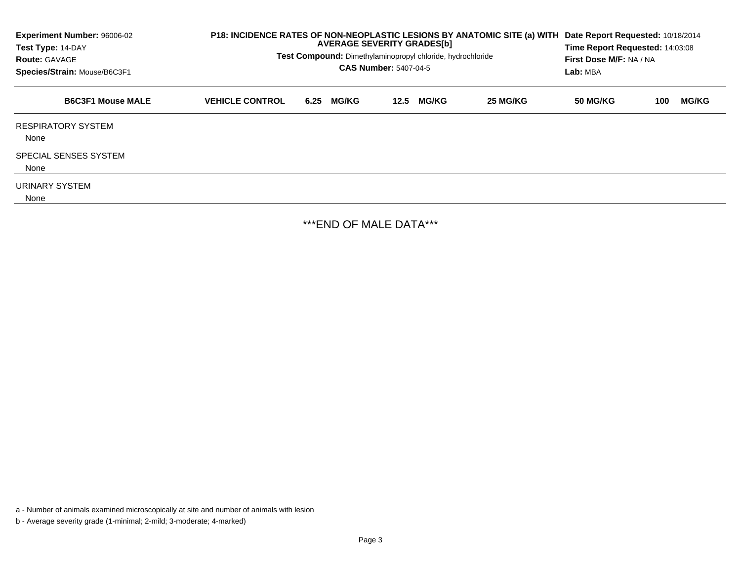| Experiment Number: 96006-02<br>Test Type: 14-DAY<br><b>Route: GAVAGE</b><br>Species/Strain: Mouse/B6C3F1 | P18: INCIDENCE RATES OF NON-NEOPLASTIC LESIONS BY ANATOMIC SITE (a) WITH<br>Test Compound: Dimethylaminopropyl chloride, hydrochloride | Date Report Requested: 10/18/2014<br>Time Report Requested: 14:03:08<br>First Dose M/F: NA / NA<br>Lab: MBA |                      |          |                 |     |              |
|----------------------------------------------------------------------------------------------------------|----------------------------------------------------------------------------------------------------------------------------------------|-------------------------------------------------------------------------------------------------------------|----------------------|----------|-----------------|-----|--------------|
| <b>B6C3F1 Mouse MALE</b>                                                                                 | <b>VEHICLE CONTROL</b>                                                                                                                 | <b>MG/KG</b><br>6.25                                                                                        | <b>MG/KG</b><br>12.5 | 25 MG/KG | <b>50 MG/KG</b> | 100 | <b>MG/KG</b> |
| <b>RESPIRATORY SYSTEM</b><br>None                                                                        |                                                                                                                                        |                                                                                                             |                      |          |                 |     |              |
| <b>SPECIAL SENSES SYSTEM</b><br>None                                                                     |                                                                                                                                        |                                                                                                             |                      |          |                 |     |              |
| URINARY SYSTEM<br>None                                                                                   |                                                                                                                                        |                                                                                                             |                      |          |                 |     |              |

\*\*\*END OF MALE DATA\*\*\*

a - Number of animals examined microscopically at site and number of animals with lesion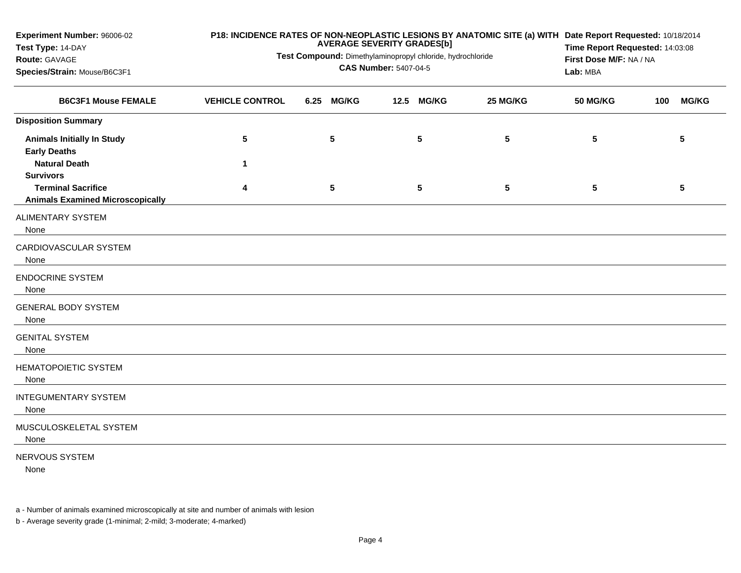| Experiment Number: 96006-02<br>Test Type: 14-DAY<br>Route: GAVAGE<br>Species/Strain: Mouse/B6C3F1 | Test Compound: Dimethylaminopropyl chloride, hydrochloride | P18: INCIDENCE RATES OF NON-NEOPLASTIC LESIONS BY ANATOMIC SITE (a) WITH Date Report Requested: 10/18/2014<br>Time Report Requested: 14:03:08<br>First Dose M/F: NA / NA<br>Lab: MBA |            |                 |                 |     |                 |
|---------------------------------------------------------------------------------------------------|------------------------------------------------------------|--------------------------------------------------------------------------------------------------------------------------------------------------------------------------------------|------------|-----------------|-----------------|-----|-----------------|
| <b>B6C3F1 Mouse FEMALE</b>                                                                        | <b>VEHICLE CONTROL</b>                                     | 6.25 MG/KG                                                                                                                                                                           | 12.5 MG/KG | 25 MG/KG        | <b>50 MG/KG</b> | 100 | <b>MG/KG</b>    |
| <b>Disposition Summary</b>                                                                        |                                                            |                                                                                                                                                                                      |            |                 |                 |     |                 |
| <b>Animals Initially In Study</b><br><b>Early Deaths</b>                                          | 5                                                          | 5                                                                                                                                                                                    | 5          | 5               | 5               |     | 5               |
| <b>Natural Death</b>                                                                              | 1                                                          |                                                                                                                                                                                      |            |                 |                 |     |                 |
| <b>Survivors</b><br><b>Terminal Sacrifice</b><br><b>Animals Examined Microscopically</b>          | 4                                                          | $5\phantom{.0}$                                                                                                                                                                      | 5          | $5\phantom{.0}$ | 5               |     | $5\phantom{.0}$ |
| ALIMENTARY SYSTEM<br>None                                                                         |                                                            |                                                                                                                                                                                      |            |                 |                 |     |                 |
| CARDIOVASCULAR SYSTEM<br>None                                                                     |                                                            |                                                                                                                                                                                      |            |                 |                 |     |                 |
| <b>ENDOCRINE SYSTEM</b><br>None                                                                   |                                                            |                                                                                                                                                                                      |            |                 |                 |     |                 |
| <b>GENERAL BODY SYSTEM</b><br>None                                                                |                                                            |                                                                                                                                                                                      |            |                 |                 |     |                 |
| <b>GENITAL SYSTEM</b><br>None                                                                     |                                                            |                                                                                                                                                                                      |            |                 |                 |     |                 |
| <b>HEMATOPOIETIC SYSTEM</b><br>None                                                               |                                                            |                                                                                                                                                                                      |            |                 |                 |     |                 |
| <b>INTEGUMENTARY SYSTEM</b><br>None                                                               |                                                            |                                                                                                                                                                                      |            |                 |                 |     |                 |
| MUSCULOSKELETAL SYSTEM<br>None                                                                    |                                                            |                                                                                                                                                                                      |            |                 |                 |     |                 |
| NERVOUS SYSTEM                                                                                    |                                                            |                                                                                                                                                                                      |            |                 |                 |     |                 |

None

a - Number of animals examined microscopically at site and number of animals with lesion